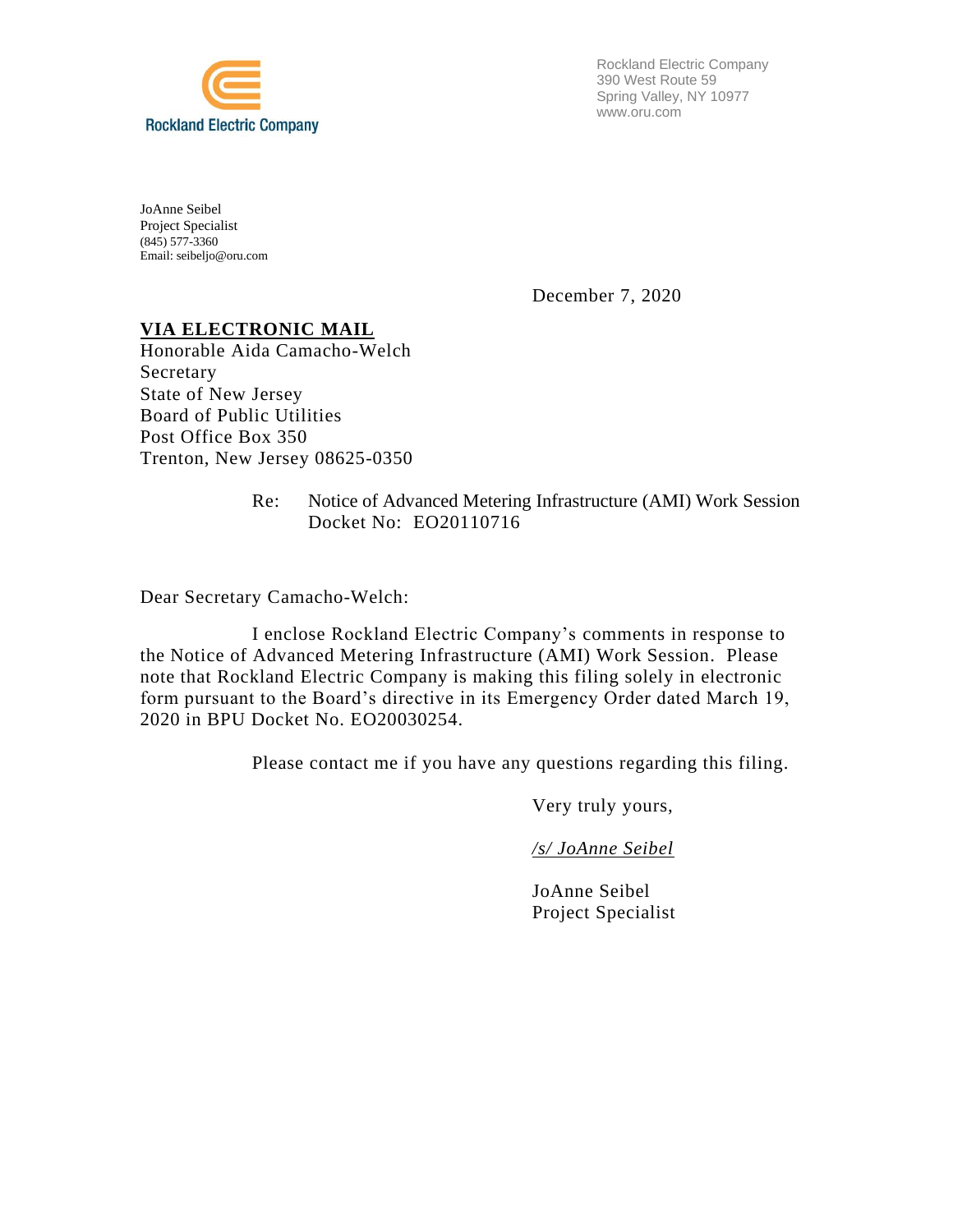

Rockland Electric Company 390 West Route 59 Spring Valley, NY 10977 www.oru.com

JoAnne Seibel Project Specialist (845) 577-3360 Email: seibeljo@oru.com

December 7, 2020

# **VIA ELECTRONIC MAIL**

Honorable Aida Camacho-Welch Secretary State of New Jersey Board of Public Utilities Post Office Box 350 Trenton, New Jersey 08625-0350

> Re: Notice of Advanced Metering Infrastructure (AMI) Work Session Docket No: EO20110716

Dear Secretary Camacho-Welch:

I enclose Rockland Electric Company's comments in response to the Notice of Advanced Metering Infrastructure (AMI) Work Session. Please note that Rockland Electric Company is making this filing solely in electronic form pursuant to the Board's directive in its Emergency Order dated March 19, 2020 in BPU Docket No. EO20030254.

Please contact me if you have any questions regarding this filing.

Very truly yours,

*/s/ JoAnne Seibel*

JoAnne Seibel Project Specialist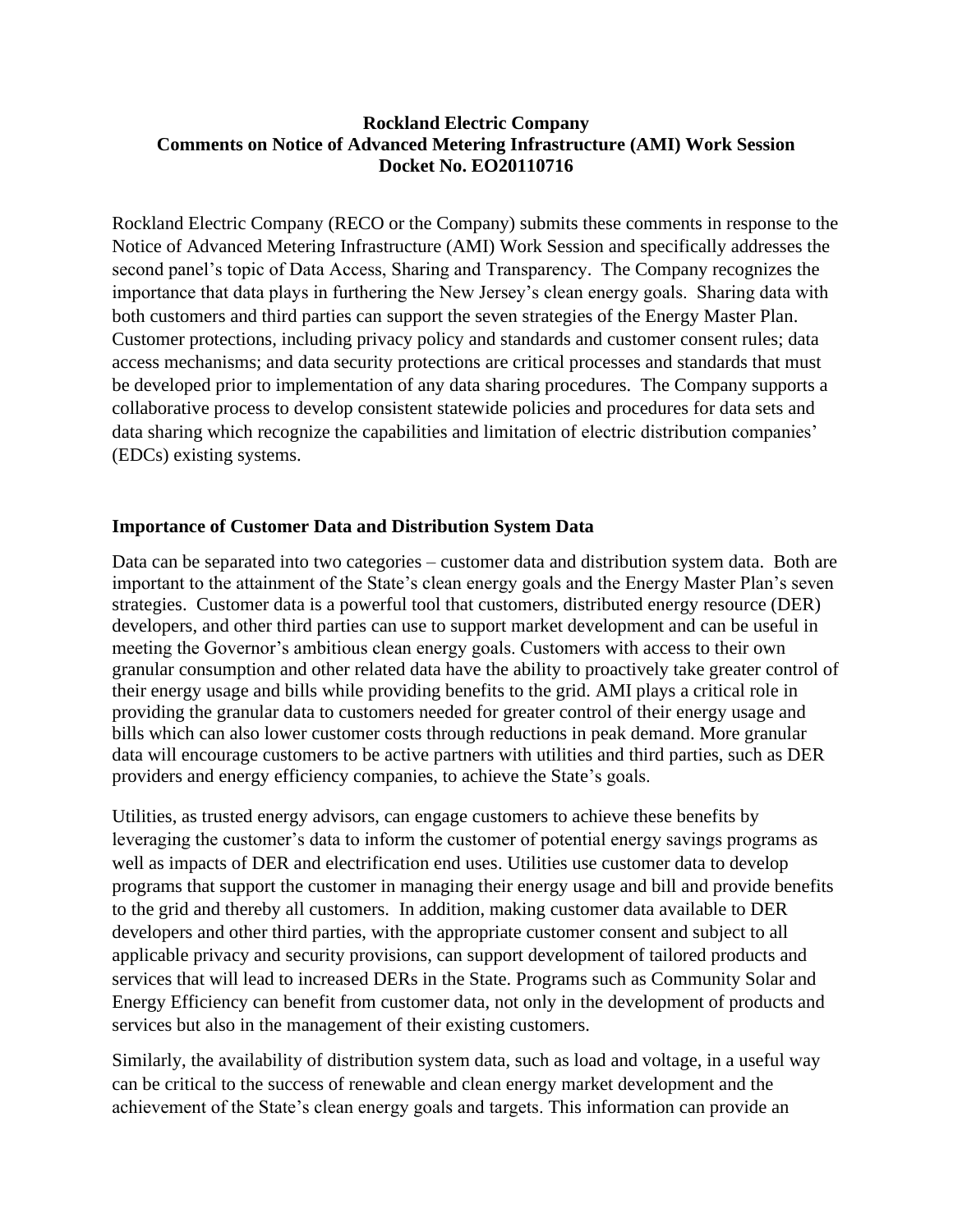Rockland Electric Company (RECO or the Company) submits these comments in response to the Notice of Advanced Metering Infrastructure (AMI) Work Session and specifically addresses the second panel's topic of Data Access, Sharing and Transparency. The Company recognizes the importance that data plays in furthering the New Jersey's clean energy goals. Sharing data with both customers and third parties can support the seven strategies of the Energy Master Plan. Customer protections, including privacy policy and standards and customer consent rules; data access mechanisms; and data security protections are critical processes and standards that must be developed prior to implementation of any data sharing procedures. The Company supports a collaborative process to develop consistent statewide policies and procedures for data sets and data sharing which recognize the capabilities and limitation of electric distribution companies' (EDCs) existing systems.

# **Importance of Customer Data and Distribution System Data**

Data can be separated into two categories – customer data and distribution system data. Both are important to the attainment of the State's clean energy goals and the Energy Master Plan's seven strategies. Customer data is a powerful tool that customers, distributed energy resource (DER) developers, and other third parties can use to support market development and can be useful in meeting the Governor's ambitious clean energy goals. Customers with access to their own granular consumption and other related data have the ability to proactively take greater control of their energy usage and bills while providing benefits to the grid. AMI plays a critical role in providing the granular data to customers needed for greater control of their energy usage and bills which can also lower customer costs through reductions in peak demand. More granular data will encourage customers to be active partners with utilities and third parties, such as DER providers and energy efficiency companies, to achieve the State's goals.

Utilities, as trusted energy advisors, can engage customers to achieve these benefits by leveraging the customer's data to inform the customer of potential energy savings programs as well as impacts of DER and electrification end uses. Utilities use customer data to develop programs that support the customer in managing their energy usage and bill and provide benefits to the grid and thereby all customers. In addition, making customer data available to DER developers and other third parties, with the appropriate customer consent and subject to all applicable privacy and security provisions, can support development of tailored products and services that will lead to increased DERs in the State. Programs such as Community Solar and Energy Efficiency can benefit from customer data, not only in the development of products and services but also in the management of their existing customers.

Similarly, the availability of distribution system data, such as load and voltage, in a useful way can be critical to the success of renewable and clean energy market development and the achievement of the State's clean energy goals and targets. This information can provide an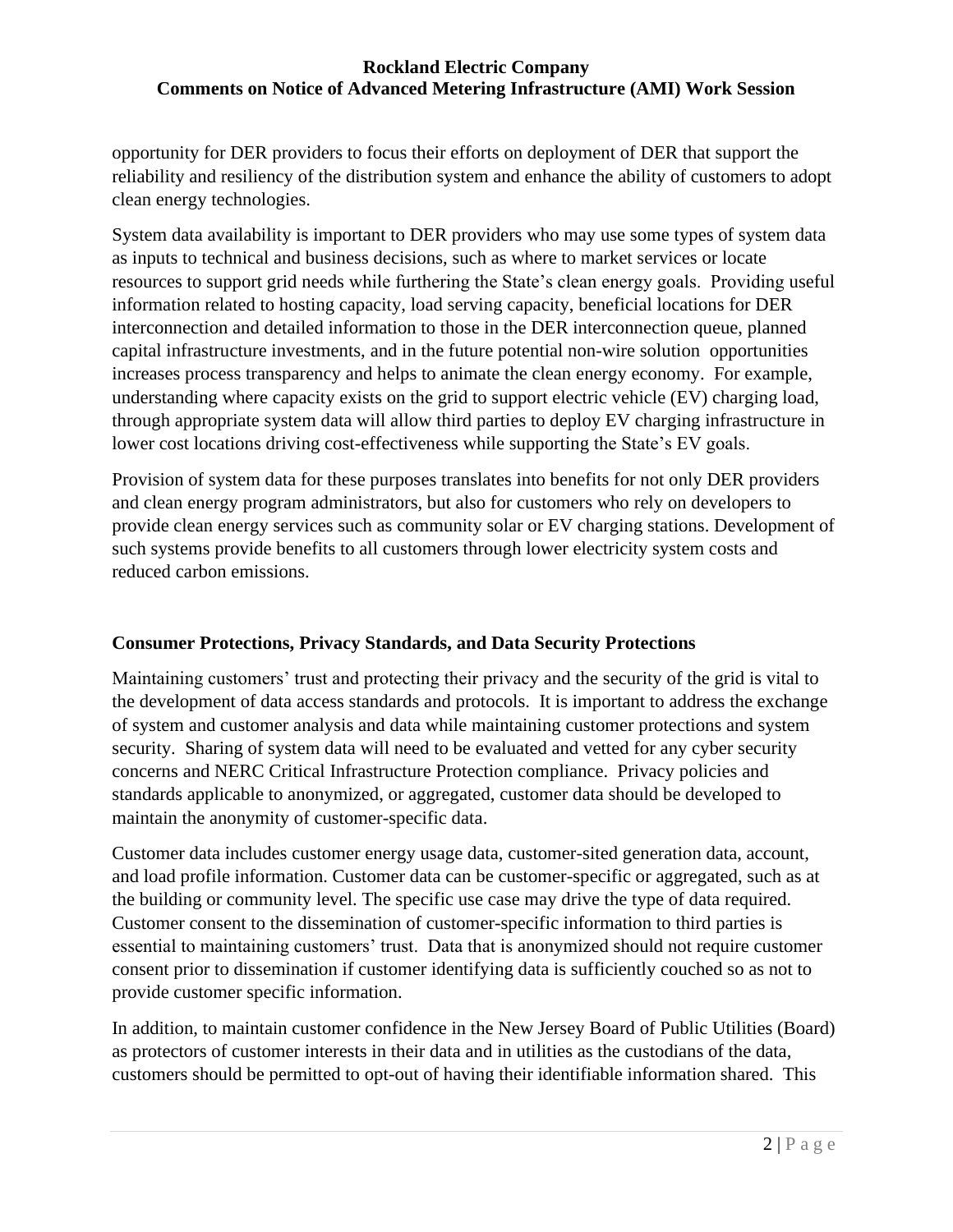opportunity for DER providers to focus their efforts on deployment of DER that support the reliability and resiliency of the distribution system and enhance the ability of customers to adopt clean energy technologies.

System data availability is important to DER providers who may use some types of system data as inputs to technical and business decisions, such as where to market services or locate resources to support grid needs while furthering the State's clean energy goals. Providing useful information related to hosting capacity, load serving capacity, beneficial locations for DER interconnection and detailed information to those in the DER interconnection queue, planned capital infrastructure investments, and in the future potential non-wire solution opportunities increases process transparency and helps to animate the clean energy economy. For example, understanding where capacity exists on the grid to support electric vehicle (EV) charging load, through appropriate system data will allow third parties to deploy EV charging infrastructure in lower cost locations driving cost-effectiveness while supporting the State's EV goals.

Provision of system data for these purposes translates into benefits for not only DER providers and clean energy program administrators, but also for customers who rely on developers to provide clean energy services such as community solar or EV charging stations. Development of such systems provide benefits to all customers through lower electricity system costs and reduced carbon emissions.

# **Consumer Protections, Privacy Standards, and Data Security Protections**

Maintaining customers' trust and protecting their privacy and the security of the grid is vital to the development of data access standards and protocols. It is important to address the exchange of system and customer analysis and data while maintaining customer protections and system security. Sharing of system data will need to be evaluated and vetted for any cyber security concerns and NERC Critical Infrastructure Protection compliance. Privacy policies and standards applicable to anonymized, or aggregated, customer data should be developed to maintain the anonymity of customer-specific data.

Customer data includes customer energy usage data, customer-sited generation data, account, and load profile information. Customer data can be customer-specific or aggregated, such as at the building or community level. The specific use case may drive the type of data required. Customer consent to the dissemination of customer-specific information to third parties is essential to maintaining customers' trust. Data that is anonymized should not require customer consent prior to dissemination if customer identifying data is sufficiently couched so as not to provide customer specific information.

In addition, to maintain customer confidence in the New Jersey Board of Public Utilities (Board) as protectors of customer interests in their data and in utilities as the custodians of the data, customers should be permitted to opt-out of having their identifiable information shared. This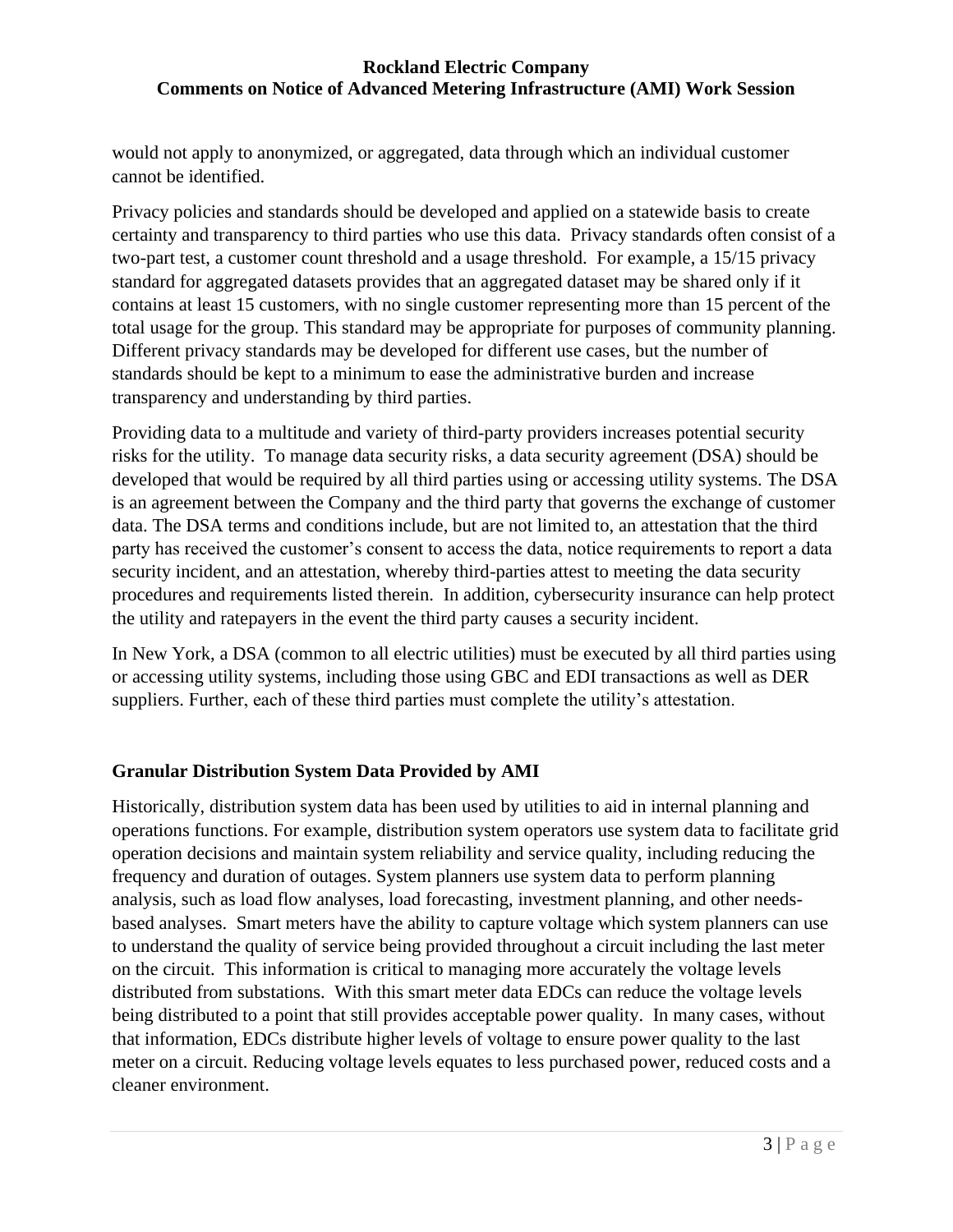would not apply to anonymized, or aggregated, data through which an individual customer cannot be identified.

Privacy policies and standards should be developed and applied on a statewide basis to create certainty and transparency to third parties who use this data. Privacy standards often consist of a two-part test, a customer count threshold and a usage threshold. For example, a 15/15 privacy standard for aggregated datasets provides that an aggregated dataset may be shared only if it contains at least 15 customers, with no single customer representing more than 15 percent of the total usage for the group. This standard may be appropriate for purposes of community planning. Different privacy standards may be developed for different use cases, but the number of standards should be kept to a minimum to ease the administrative burden and increase transparency and understanding by third parties.

Providing data to a multitude and variety of third-party providers increases potential security risks for the utility. To manage data security risks, a data security agreement (DSA) should be developed that would be required by all third parties using or accessing utility systems. The DSA is an agreement between the Company and the third party that governs the exchange of customer data. The DSA terms and conditions include, but are not limited to, an attestation that the third party has received the customer's consent to access the data, notice requirements to report a data security incident, and an attestation, whereby third-parties attest to meeting the data security procedures and requirements listed therein. In addition, cybersecurity insurance can help protect the utility and ratepayers in the event the third party causes a security incident.

In New York, a DSA (common to all electric utilities) must be executed by all third parties using or accessing utility systems, including those using GBC and EDI transactions as well as DER suppliers. Further, each of these third parties must complete the utility's attestation.

# **Granular Distribution System Data Provided by AMI**

Historically, distribution system data has been used by utilities to aid in internal planning and operations functions. For example, distribution system operators use system data to facilitate grid operation decisions and maintain system reliability and service quality, including reducing the frequency and duration of outages. System planners use system data to perform planning analysis, such as load flow analyses, load forecasting, investment planning, and other needsbased analyses. Smart meters have the ability to capture voltage which system planners can use to understand the quality of service being provided throughout a circuit including the last meter on the circuit. This information is critical to managing more accurately the voltage levels distributed from substations. With this smart meter data EDCs can reduce the voltage levels being distributed to a point that still provides acceptable power quality. In many cases, without that information, EDCs distribute higher levels of voltage to ensure power quality to the last meter on a circuit. Reducing voltage levels equates to less purchased power, reduced costs and a cleaner environment.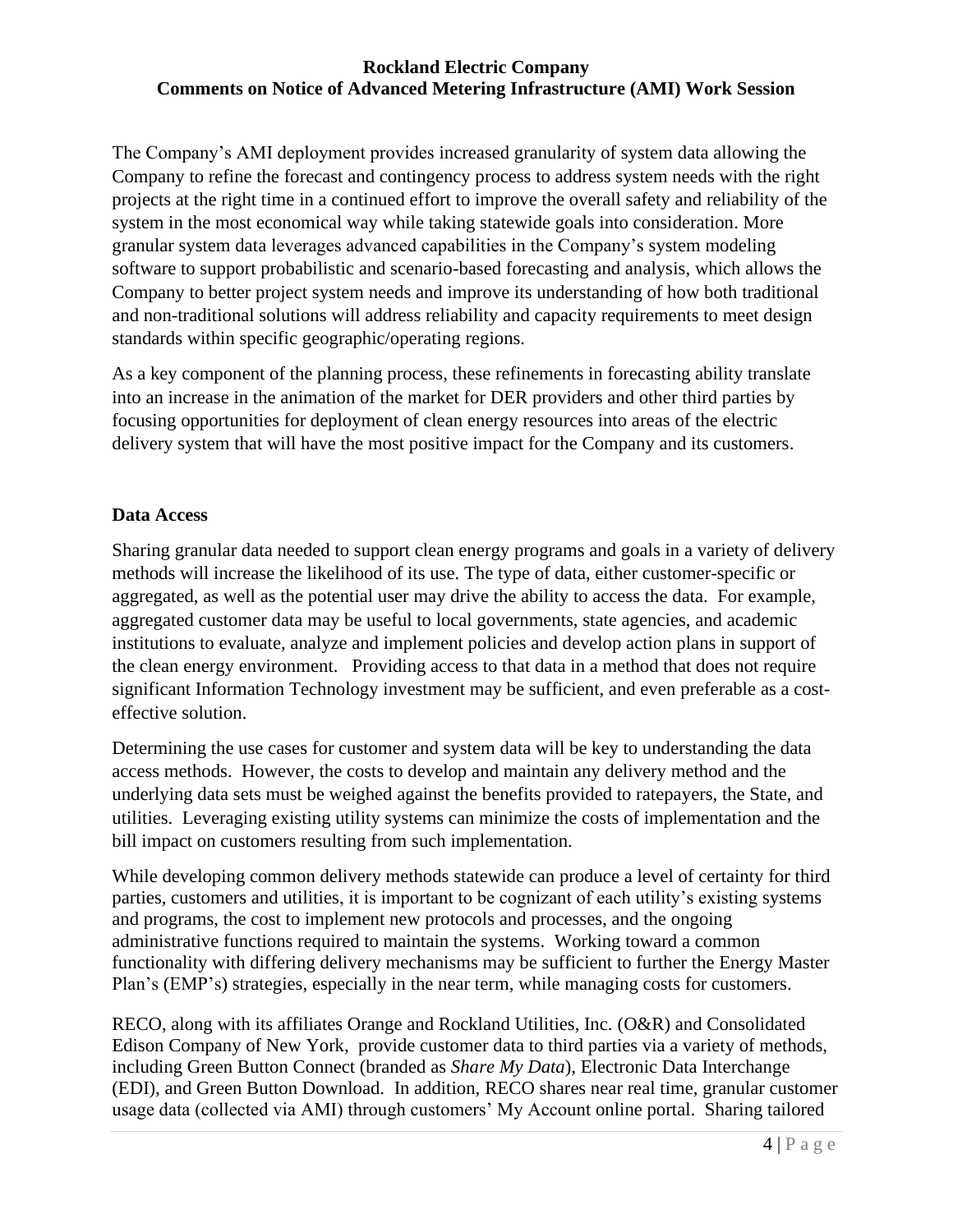The Company's AMI deployment provides increased granularity of system data allowing the Company to refine the forecast and contingency process to address system needs with the right projects at the right time in a continued effort to improve the overall safety and reliability of the system in the most economical way while taking statewide goals into consideration. More granular system data leverages advanced capabilities in the Company's system modeling software to support probabilistic and scenario-based forecasting and analysis, which allows the Company to better project system needs and improve its understanding of how both traditional and non-traditional solutions will address reliability and capacity requirements to meet design standards within specific geographic/operating regions.

As a key component of the planning process, these refinements in forecasting ability translate into an increase in the animation of the market for DER providers and other third parties by focusing opportunities for deployment of clean energy resources into areas of the electric delivery system that will have the most positive impact for the Company and its customers.

## **Data Access**

Sharing granular data needed to support clean energy programs and goals in a variety of delivery methods will increase the likelihood of its use. The type of data, either customer-specific or aggregated, as well as the potential user may drive the ability to access the data. For example, aggregated customer data may be useful to local governments, state agencies, and academic institutions to evaluate, analyze and implement policies and develop action plans in support of the clean energy environment. Providing access to that data in a method that does not require significant Information Technology investment may be sufficient, and even preferable as a costeffective solution.

Determining the use cases for customer and system data will be key to understanding the data access methods. However, the costs to develop and maintain any delivery method and the underlying data sets must be weighed against the benefits provided to ratepayers, the State, and utilities. Leveraging existing utility systems can minimize the costs of implementation and the bill impact on customers resulting from such implementation.

While developing common delivery methods statewide can produce a level of certainty for third parties, customers and utilities, it is important to be cognizant of each utility's existing systems and programs, the cost to implement new protocols and processes, and the ongoing administrative functions required to maintain the systems. Working toward a common functionality with differing delivery mechanisms may be sufficient to further the Energy Master Plan's (EMP's) strategies, especially in the near term, while managing costs for customers.

RECO, along with its affiliates Orange and Rockland Utilities, Inc. (O&R) and Consolidated Edison Company of New York, provide customer data to third parties via a variety of methods, including Green Button Connect (branded as *Share My Data*), Electronic Data Interchange (EDI), and Green Button Download. In addition, RECO shares near real time, granular customer usage data (collected via AMI) through customers' My Account online portal. Sharing tailored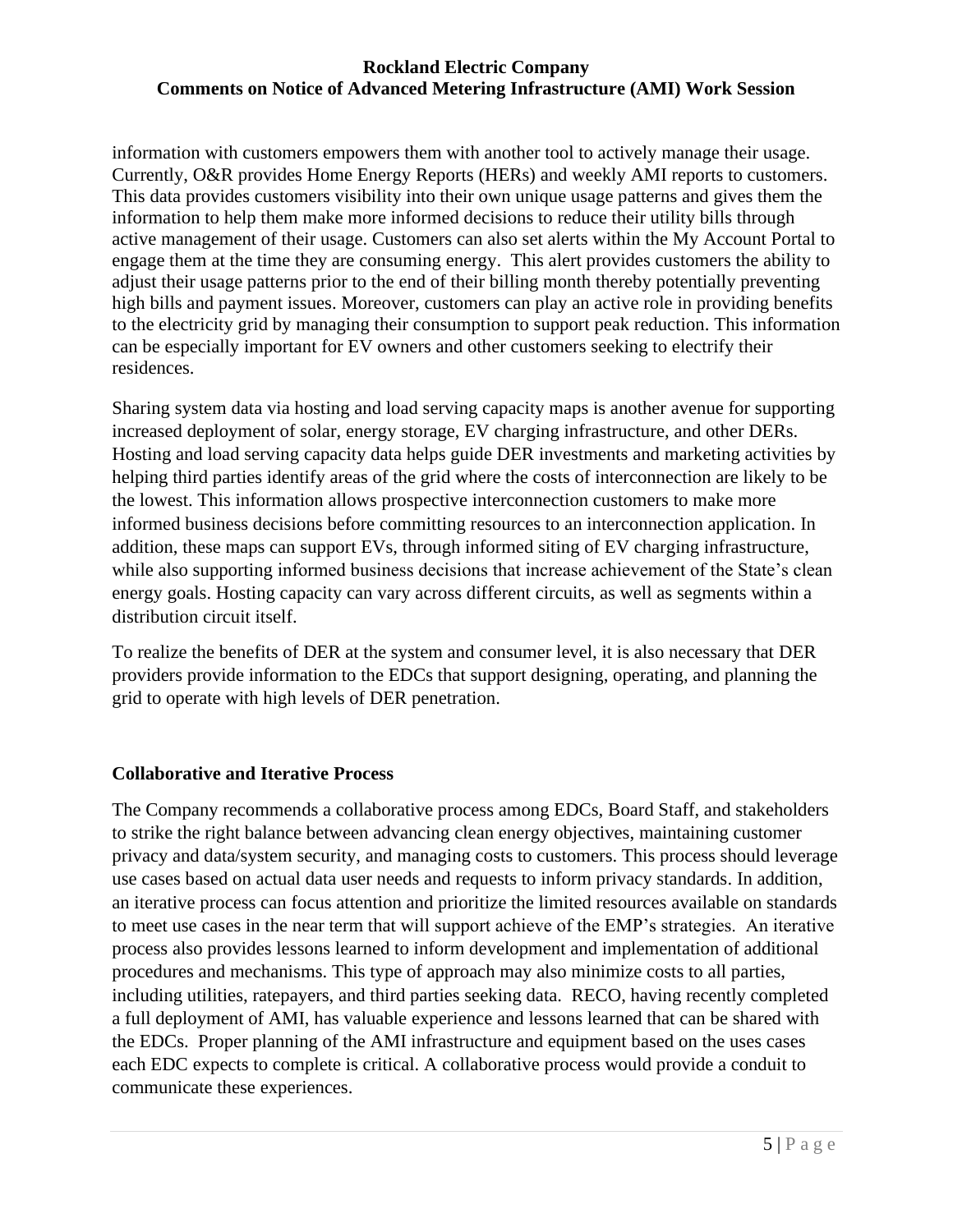information with customers empowers them with another tool to actively manage their usage. Currently, O&R provides Home Energy Reports (HERs) and weekly AMI reports to customers. This data provides customers visibility into their own unique usage patterns and gives them the information to help them make more informed decisions to reduce their utility bills through active management of their usage. Customers can also set alerts within the My Account Portal to engage them at the time they are consuming energy. This alert provides customers the ability to adjust their usage patterns prior to the end of their billing month thereby potentially preventing high bills and payment issues. Moreover, customers can play an active role in providing benefits to the electricity grid by managing their consumption to support peak reduction. This information can be especially important for EV owners and other customers seeking to electrify their residences.

Sharing system data via hosting and load serving capacity maps is another avenue for supporting increased deployment of solar, energy storage, EV charging infrastructure, and other DERs. Hosting and load serving capacity data helps guide DER investments and marketing activities by helping third parties identify areas of the grid where the costs of interconnection are likely to be the lowest. This information allows prospective interconnection customers to make more informed business decisions before committing resources to an interconnection application. In addition, these maps can support EVs, through informed siting of EV charging infrastructure, while also supporting informed business decisions that increase achievement of the State's clean energy goals. Hosting capacity can vary across different circuits, as well as segments within a distribution circuit itself.

To realize the benefits of DER at the system and consumer level, it is also necessary that DER providers provide information to the EDCs that support designing, operating, and planning the grid to operate with high levels of DER penetration.

# **Collaborative and Iterative Process**

The Company recommends a collaborative process among EDCs, Board Staff, and stakeholders to strike the right balance between advancing clean energy objectives, maintaining customer privacy and data/system security, and managing costs to customers. This process should leverage use cases based on actual data user needs and requests to inform privacy standards. In addition, an iterative process can focus attention and prioritize the limited resources available on standards to meet use cases in the near term that will support achieve of the EMP's strategies. An iterative process also provides lessons learned to inform development and implementation of additional procedures and mechanisms. This type of approach may also minimize costs to all parties, including utilities, ratepayers, and third parties seeking data. RECO, having recently completed a full deployment of AMI, has valuable experience and lessons learned that can be shared with the EDCs. Proper planning of the AMI infrastructure and equipment based on the uses cases each EDC expects to complete is critical. A collaborative process would provide a conduit to communicate these experiences.